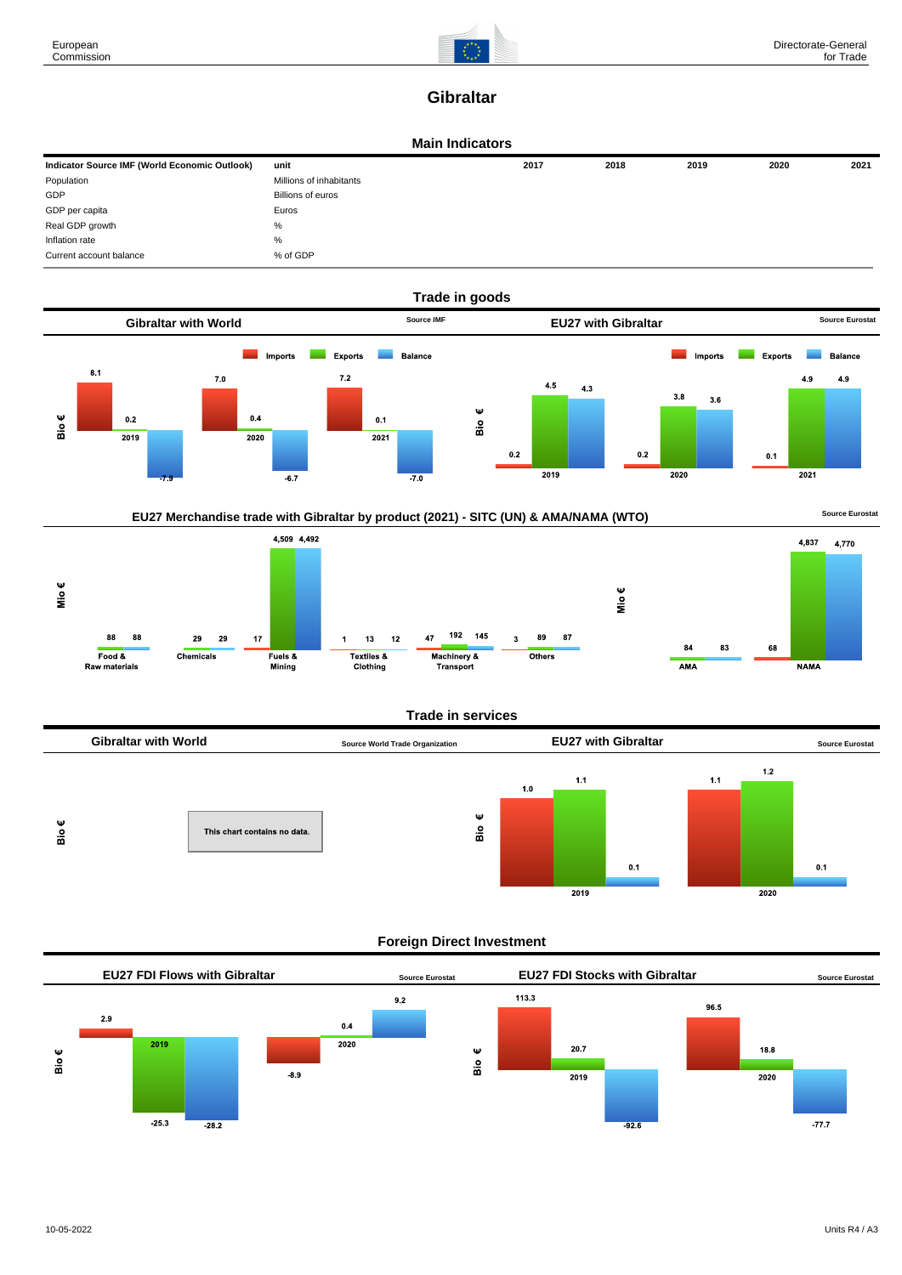

## **Gibraltar**

#### **Main Indicators**

| Indicator Source IMF (World Economic Outlook) | unit                    | 2017 | 2018 | 2019 | 2020 | 2021 |
|-----------------------------------------------|-------------------------|------|------|------|------|------|
| Population                                    | Millions of inhabitants |      |      |      |      |      |
| GDP                                           | Billions of euros       |      |      |      |      |      |
| GDP per capita                                | Euros                   |      |      |      |      |      |
| Real GDP growth                               | %                       |      |      |      |      |      |
| Inflation rate                                | %                       |      |      |      |      |      |
| Current account balance                       | % of GDP                |      |      |      |      |      |





## **Trade in services**



## **Foreign Direct Investment**